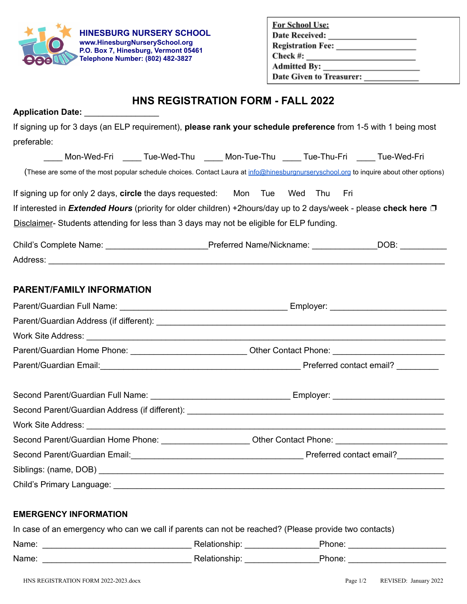

## **EMERGENCY INFORMATION**

|  |  |  |  | In case of an emergency who can we call if parents can not be reached? (Please provide two contacts) |  |
|--|--|--|--|------------------------------------------------------------------------------------------------------|--|
|--|--|--|--|------------------------------------------------------------------------------------------------------|--|

| Name: | ™JIISHID. | 'hone. |
|-------|-----------|--------|
| Name: | ™ISNIL    | 'hone. |